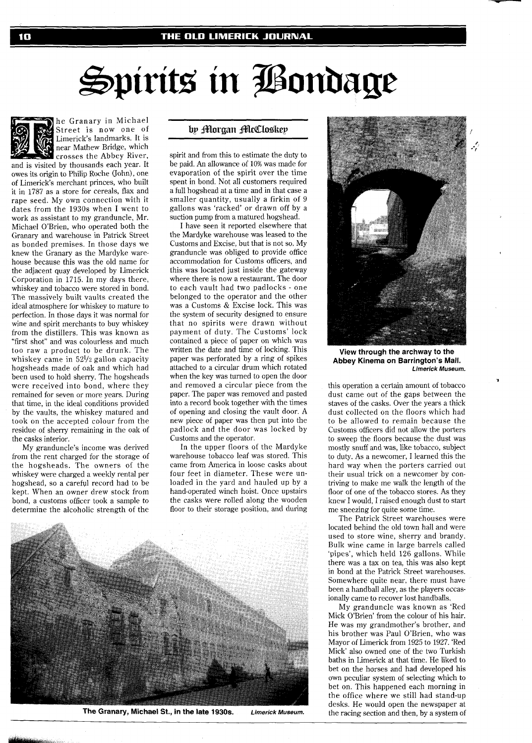## Spirits in Pondage



he Granary in Michael Street is now one of Limerick's landmarks. It is near Mathew Bridge, which crosses the Abbey River,

and is visited by thousands each year. It owes its origin to Philip Roche Uohn), one of Limerick's merchant princes, who built it in 1787 as a store for cereals, flax and rape seed. My own connection with it dates from the 1930s when I went to work as assistant to my granduncle, Mr. Michael O'Brien, who operated both the Granary and warehouse in Patrick Street as bonded premises. In those days we knew the Granary as the Mardyke warehouse because this was the old name for the adjacent quay developed by Limerick Corporation in 1715. In my days there, whiskey and tobacco were stored in bond. The massively built vaults created the ideal atmosphere for whiskey to mature to perfection. In those days it was normal for wine and spirit merchants to buy whiskey from the distillers. This was known as "first shot" and was colourless and much too raw a product to be drunk. The whiskey came in  $52\frac{1}{2}$  gallon capacity hogsheads made of oak and which had been used to hold sherry. The hogsheads were received into bond, where they remained for seven or more years. During that time, in the ideal conditions provided by the vaults, the whiskey matured and took on the accepted colour from the residue of sherry remaining in the oak of the casks interior.

My granduncle's income was derived from the rent charged for the storage of the hogsheads. The owners of the whiskey were charged a weekly rental per hogshead, so a careful record had to be kept. When an owner drew stock from bond, a customs officer took a sample to determine the alcoholic strength of the

## by Morgan McCloskey

spirit and from this to estimate the duty to be paid. An allowance of 10% was made for evaporation of the spirit over the time spent in bond. Not all customers required a full hogshead at a time and in that case a smaller quantity, usually a firkin of 9 gallons was 'racked' or drawn off by a suction pump from a matured hogshead.

I have seen it reported elsewhere that the Mardyke warehouse was leased to the Customs and Excise, but that is not so. My granduncle was obliged to provide office accommodation for Customs officers, and this was located just inside the gateway where there is now a restaurant. The door to each vault had two padlocks - one belonged to the operator and the other was a Customs & Excise lock. This was the system of security designed to ensure that no spirits were drawn without payment of duty. The Customs' lock contained a piece of paper on which was written the date and time of locking. This paper was perforated by a ring of spikes attached to a circular drum which rotated when the key was turned to open the door and removed a circular piece from the paper. The paper was removed and pasted into a record book together with the times of opening and closing the vault door. A new piece of paper was then put into the padlock and the door was locked by Customs and the operator.

In the upper floors of the Mardyke warehouse tobacco leaf was stored. This came from America in loose casks about four feet in diameter. These were unloaded in the yard and hauled up by a hand-operated winch hoist. Once upstairs the casks were rolled along the wooden floor to their storage position, and during



**The Granary, Michael St., in the late 1930s. Limerick Museum.** 



**View through the archway to the Abbey Kinema on Barrington's Mall. Limerick Museum.** 

this operation a certain amount of tobacco dust came out of the gaps between the staves of the casks. Over the years a thick dust collected on the floors which had to be allowed to remain because the Customs officers did not allow the porters to sweep the floors because the dust was mostly snuff and was, like tobacco, subject to duty. As a newcomer, I learned this the hard way when the porters carried out their usual trick on a newcomer by contriving to make me walk the length of the floor of one of the tobacco stores. As they knew I would, I raised enough dust to start me sneezing for quite some time.

The Patrick Street warehouses were located behind the old town hall and were used to store wine, sherry and brandy. Bulk wine came in large barrels called 'pipes', which held 126 gallons. While there was a tax on tea, this was also kept in bond at the Patrick Street warehouses. Somewhere quite near, there must have been a handball alley, as the players occasionally came to recover lost handballs.

My granduncle was known as 'Red Mick O'Brien' from the colour of his hair. He was my grandmother's brother, and his brother was Paul O'Brien, who was Mayor of Limerick from 1925 to 1927. 'Red Mick' also owned one of the two Turkish baths in Limerick at that time. He liked to bet on the horses and had developed his own peculiar system of selecting which to bet on. This happened each morning in the office where we still had stand-up desks. He would open the newspaper at the racing section and then, by a system of